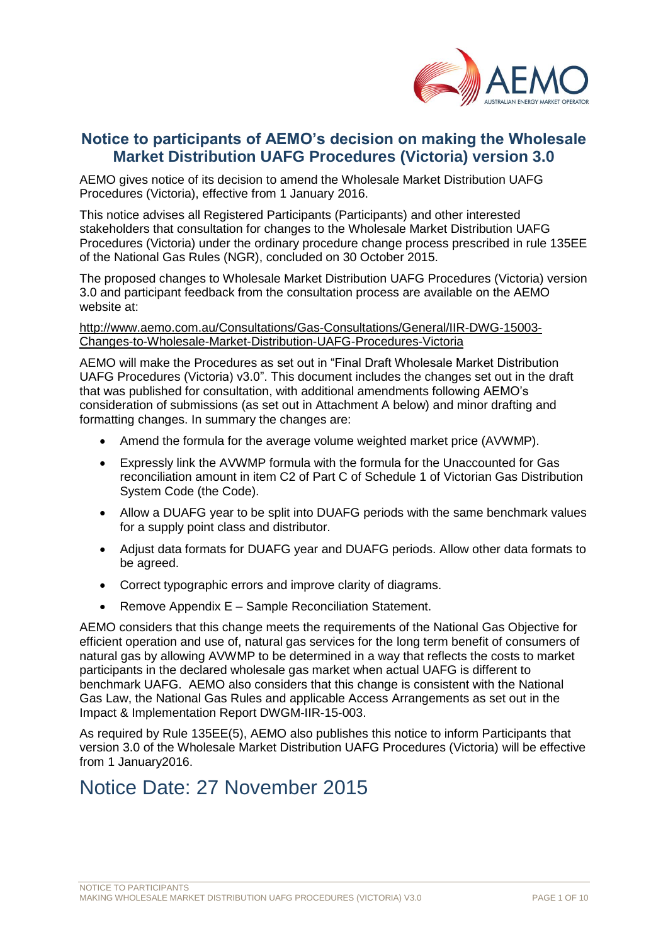

## **Notice to participants of AEMO's decision on making the Wholesale Market Distribution UAFG Procedures (Victoria) version 3.0**

AEMO gives notice of its decision to amend the Wholesale Market Distribution UAFG Procedures (Victoria), effective from 1 January 2016.

This notice advises all Registered Participants (Participants) and other interested stakeholders that consultation for changes to the Wholesale Market Distribution UAFG Procedures (Victoria) under the ordinary procedure change process prescribed in rule 135EE of the National Gas Rules (NGR), concluded on 30 October 2015.

The proposed changes to Wholesale Market Distribution UAFG Procedures (Victoria) version 3.0 and participant feedback from the consultation process are available on the AEMO website at:

[http://www.aemo.com.au/Consultations/Gas-Consultations/General/IIR-DWG-15003-](http://www.aemo.com.au/Consultations/Gas-Consultations/General/IIR-DWG-15003-Changes-to-Wholesale-Market-Distribution-UAFG-Procedures-Victoria) [Changes-to-Wholesale-Market-Distribution-UAFG-Procedures-Victoria](http://www.aemo.com.au/Consultations/Gas-Consultations/General/IIR-DWG-15003-Changes-to-Wholesale-Market-Distribution-UAFG-Procedures-Victoria)

AEMO will make the Procedures as set out in "Final Draft Wholesale Market Distribution UAFG Procedures (Victoria) v3.0". This document includes the changes set out in the draft that was published for consultation, with additional amendments following AEMO's consideration of submissions (as set out in Attachment A below) and minor drafting and formatting changes. In summary the changes are:

- Amend the formula for the average volume weighted market price (AVWMP).
- Expressly link the AVWMP formula with the formula for the Unaccounted for Gas reconciliation amount in item C2 of Part C of Schedule 1 of Victorian Gas Distribution System Code (the Code).
- Allow a DUAFG year to be split into DUAFG periods with the same benchmark values for a supply point class and distributor.
- Adjust data formats for DUAFG year and DUAFG periods. Allow other data formats to be agreed.
- Correct typographic errors and improve clarity of diagrams.
- Remove Appendix E Sample Reconciliation Statement.

AEMO considers that this change meets the requirements of the National Gas Objective for efficient operation and use of, natural gas services for the long term benefit of consumers of natural gas by allowing AVWMP to be determined in a way that reflects the costs to market participants in the declared wholesale gas market when actual UAFG is different to benchmark UAFG. AEMO also considers that this change is consistent with the National Gas Law, the National Gas Rules and applicable Access Arrangements as set out in the Impact & Implementation Report DWGM-IIR-15-003.

As required by Rule 135EE(5), AEMO also publishes this notice to inform Participants that version 3.0 of the Wholesale Market Distribution UAFG Procedures (Victoria) will be effective from 1 January2016.

## Notice Date: 27 November 2015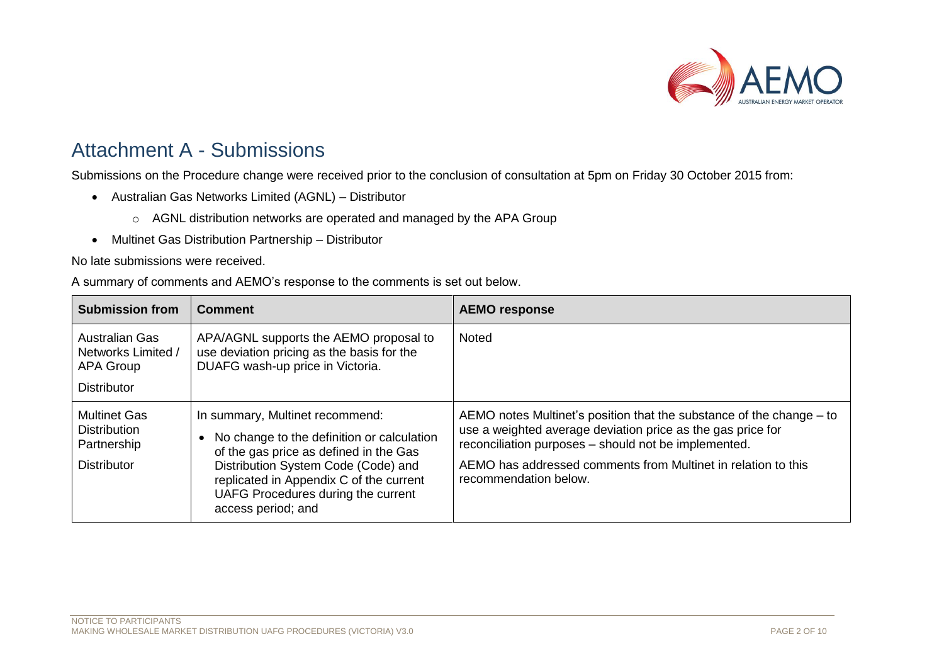

## Attachment A - Submissions

Submissions on the Procedure change were received prior to the conclusion of consultation at 5pm on Friday 30 October 2015 from:

- Australian Gas Networks Limited (AGNL) Distributor
	- o AGNL distribution networks are operated and managed by the APA Group
- Multinet Gas Distribution Partnership Distributor

## No late submissions were received.

A summary of comments and AEMO's response to the comments is set out below.

| <b>Submission from</b>                                                                | Comment                                                                                                                                                                                                                                                               | <b>AEMO response</b>                                                                                                                                                                                                                                                                  |
|---------------------------------------------------------------------------------------|-----------------------------------------------------------------------------------------------------------------------------------------------------------------------------------------------------------------------------------------------------------------------|---------------------------------------------------------------------------------------------------------------------------------------------------------------------------------------------------------------------------------------------------------------------------------------|
| <b>Australian Gas</b><br>Networks Limited /<br><b>APA Group</b><br><b>Distributor</b> | APA/AGNL supports the AEMO proposal to<br>use deviation pricing as the basis for the<br>DUAFG wash-up price in Victoria.                                                                                                                                              | <b>Noted</b>                                                                                                                                                                                                                                                                          |
| <b>Multinet Gas</b><br><b>Distribution</b><br>Partnership<br><b>Distributor</b>       | In summary, Multinet recommend:<br>No change to the definition or calculation<br>of the gas price as defined in the Gas<br>Distribution System Code (Code) and<br>replicated in Appendix C of the current<br>UAFG Procedures during the current<br>access period; and | AEMO notes Multinet's position that the substance of the change – to<br>use a weighted average deviation price as the gas price for<br>reconciliation purposes - should not be implemented.<br>AEMO has addressed comments from Multinet in relation to this<br>recommendation below. |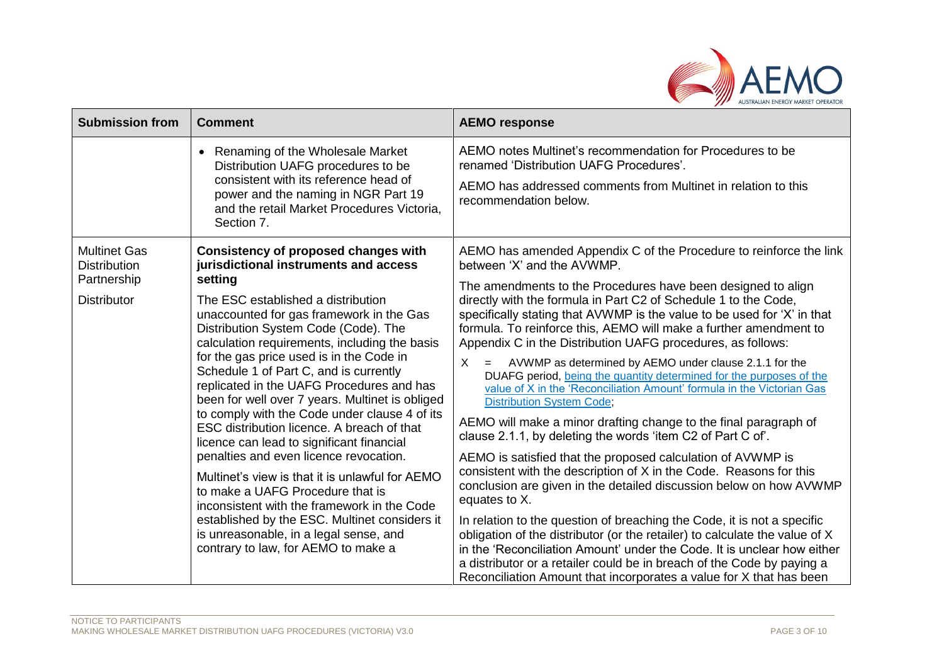

| <b>Submission from</b>                                    | <b>Comment</b>                                                                                                                                                                                                                                                                                                                                                                                                                                                                                                                                                                                        | <b>AEMO response</b>                                                                                                                                                                                                                                                                                                                                                               |
|-----------------------------------------------------------|-------------------------------------------------------------------------------------------------------------------------------------------------------------------------------------------------------------------------------------------------------------------------------------------------------------------------------------------------------------------------------------------------------------------------------------------------------------------------------------------------------------------------------------------------------------------------------------------------------|------------------------------------------------------------------------------------------------------------------------------------------------------------------------------------------------------------------------------------------------------------------------------------------------------------------------------------------------------------------------------------|
|                                                           | Renaming of the Wholesale Market<br>Distribution UAFG procedures to be<br>consistent with its reference head of<br>power and the naming in NGR Part 19<br>and the retail Market Procedures Victoria,<br>Section 7.                                                                                                                                                                                                                                                                                                                                                                                    | AEMO notes Multinet's recommendation for Procedures to be<br>renamed 'Distribution UAFG Procedures'.<br>AEMO has addressed comments from Multinet in relation to this<br>recommendation below.                                                                                                                                                                                     |
| <b>Multinet Gas</b><br><b>Distribution</b><br>Partnership | Consistency of proposed changes with<br>jurisdictional instruments and access<br>setting<br>The ESC established a distribution<br>unaccounted for gas framework in the Gas<br>Distribution System Code (Code). The<br>calculation requirements, including the basis<br>for the gas price used is in the Code in<br>Schedule 1 of Part C, and is currently<br>replicated in the UAFG Procedures and has<br>been for well over 7 years. Multinet is obliged<br>to comply with the Code under clause 4 of its<br>ESC distribution licence. A breach of that<br>licence can lead to significant financial | AEMO has amended Appendix C of the Procedure to reinforce the link<br>between 'X' and the AVWMP.<br>The amendments to the Procedures have been designed to align                                                                                                                                                                                                                   |
| <b>Distributor</b>                                        |                                                                                                                                                                                                                                                                                                                                                                                                                                                                                                                                                                                                       | directly with the formula in Part C2 of Schedule 1 to the Code,<br>specifically stating that AVWMP is the value to be used for 'X' in that<br>formula. To reinforce this, AEMO will make a further amendment to<br>Appendix C in the Distribution UAFG procedures, as follows:                                                                                                     |
|                                                           |                                                                                                                                                                                                                                                                                                                                                                                                                                                                                                                                                                                                       | AVWMP as determined by AEMO under clause 2.1.1 for the<br>X<br>DUAFG period, being the quantity determined for the purposes of the<br>value of X in the 'Reconciliation Amount' formula in the Victorian Gas<br><b>Distribution System Code;</b>                                                                                                                                   |
|                                                           |                                                                                                                                                                                                                                                                                                                                                                                                                                                                                                                                                                                                       | AEMO will make a minor drafting change to the final paragraph of<br>clause 2.1.1, by deleting the words 'item C2 of Part C of'.                                                                                                                                                                                                                                                    |
|                                                           | penalties and even licence revocation.<br>Multinet's view is that it is unlawful for AEMO<br>to make a UAFG Procedure that is<br>inconsistent with the framework in the Code                                                                                                                                                                                                                                                                                                                                                                                                                          | AEMO is satisfied that the proposed calculation of AVWMP is<br>consistent with the description of X in the Code. Reasons for this<br>conclusion are given in the detailed discussion below on how AVWMP<br>equates to X.                                                                                                                                                           |
|                                                           | established by the ESC. Multinet considers it<br>is unreasonable, in a legal sense, and<br>contrary to law, for AEMO to make a                                                                                                                                                                                                                                                                                                                                                                                                                                                                        | In relation to the question of breaching the Code, it is not a specific<br>obligation of the distributor (or the retailer) to calculate the value of X<br>in the 'Reconciliation Amount' under the Code. It is unclear how either<br>a distributor or a retailer could be in breach of the Code by paying a<br>Reconciliation Amount that incorporates a value for X that has been |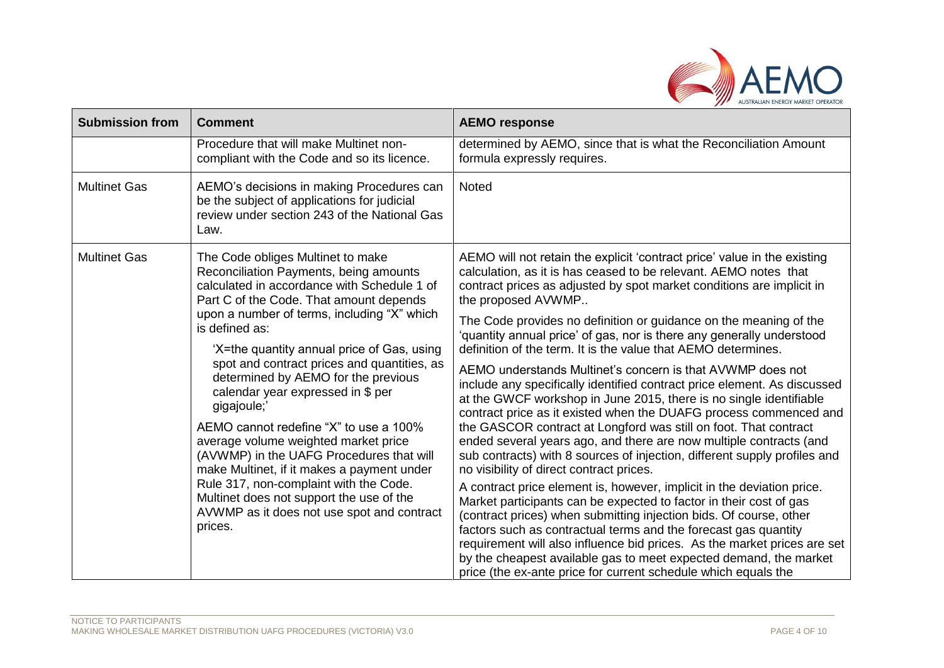

| <b>Submission from</b>                                                                                                                                                                                                                                                                                                                                                                                                                                            | <b>Comment</b>                                                                                                                                                                                                                                                                                                                                                                                                                                                                                           | <b>AEMO response</b>                                                                                                                                                                                                                        |
|-------------------------------------------------------------------------------------------------------------------------------------------------------------------------------------------------------------------------------------------------------------------------------------------------------------------------------------------------------------------------------------------------------------------------------------------------------------------|----------------------------------------------------------------------------------------------------------------------------------------------------------------------------------------------------------------------------------------------------------------------------------------------------------------------------------------------------------------------------------------------------------------------------------------------------------------------------------------------------------|---------------------------------------------------------------------------------------------------------------------------------------------------------------------------------------------------------------------------------------------|
|                                                                                                                                                                                                                                                                                                                                                                                                                                                                   | Procedure that will make Multinet non-<br>compliant with the Code and so its licence.                                                                                                                                                                                                                                                                                                                                                                                                                    | determined by AEMO, since that is what the Reconciliation Amount<br>formula expressly requires.                                                                                                                                             |
| <b>Multinet Gas</b>                                                                                                                                                                                                                                                                                                                                                                                                                                               | AEMO's decisions in making Procedures can<br>be the subject of applications for judicial<br>review under section 243 of the National Gas<br>Law.                                                                                                                                                                                                                                                                                                                                                         | Noted                                                                                                                                                                                                                                       |
| <b>Multinet Gas</b>                                                                                                                                                                                                                                                                                                                                                                                                                                               | The Code obliges Multinet to make<br>Reconciliation Payments, being amounts<br>calculated in accordance with Schedule 1 of<br>Part C of the Code. That amount depends<br>upon a number of terms, including "X" which<br>is defined as:<br>'X=the quantity annual price of Gas, using                                                                                                                                                                                                                     | AEMO will not retain the explicit 'contract price' value in the existing<br>calculation, as it is has ceased to be relevant. AEMO notes that<br>contract prices as adjusted by spot market conditions are implicit in<br>the proposed AVWMP |
|                                                                                                                                                                                                                                                                                                                                                                                                                                                                   |                                                                                                                                                                                                                                                                                                                                                                                                                                                                                                          | The Code provides no definition or guidance on the meaning of the<br>'quantity annual price' of gas, nor is there any generally understood<br>definition of the term. It is the value that AEMO determines.                                 |
| spot and contract prices and quantities, as<br>determined by AEMO for the previous<br>calendar year expressed in \$ per<br>gigajoule;'<br>AEMO cannot redefine "X" to use a 100%<br>average volume weighted market price<br>(AVWMP) in the UAFG Procedures that will<br>make Multinet, if it makes a payment under<br>Rule 317, non-complaint with the Code.<br>Multinet does not support the use of the<br>AVWMP as it does not use spot and contract<br>prices. | AEMO understands Multinet's concern is that AVWMP does not<br>include any specifically identified contract price element. As discussed<br>at the GWCF workshop in June 2015, there is no single identifiable<br>contract price as it existed when the DUAFG process commenced and                                                                                                                                                                                                                        |                                                                                                                                                                                                                                             |
|                                                                                                                                                                                                                                                                                                                                                                                                                                                                   | the GASCOR contract at Longford was still on foot. That contract<br>ended several years ago, and there are now multiple contracts (and<br>sub contracts) with 8 sources of injection, different supply profiles and<br>no visibility of direct contract prices.                                                                                                                                                                                                                                          |                                                                                                                                                                                                                                             |
|                                                                                                                                                                                                                                                                                                                                                                                                                                                                   | A contract price element is, however, implicit in the deviation price.<br>Market participants can be expected to factor in their cost of gas<br>(contract prices) when submitting injection bids. Of course, other<br>factors such as contractual terms and the forecast gas quantity<br>requirement will also influence bid prices. As the market prices are set<br>by the cheapest available gas to meet expected demand, the market<br>price (the ex-ante price for current schedule which equals the |                                                                                                                                                                                                                                             |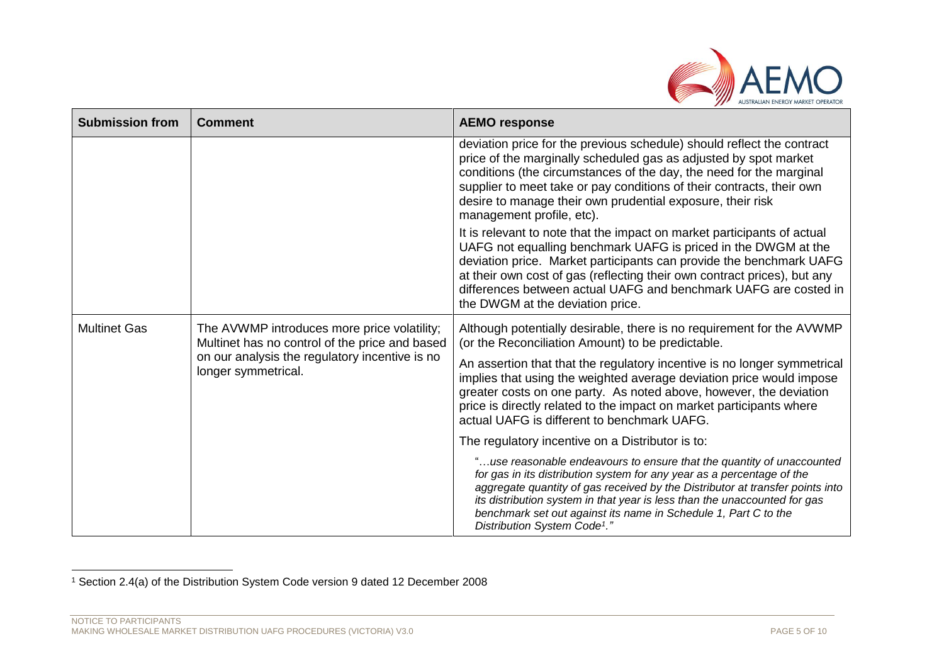

| <b>Submission from</b> | <b>Comment</b>                                                                                | <b>AEMO response</b>                                                                                                                                                                                                                                                                                                                                                                                                         |
|------------------------|-----------------------------------------------------------------------------------------------|------------------------------------------------------------------------------------------------------------------------------------------------------------------------------------------------------------------------------------------------------------------------------------------------------------------------------------------------------------------------------------------------------------------------------|
|                        |                                                                                               | deviation price for the previous schedule) should reflect the contract<br>price of the marginally scheduled gas as adjusted by spot market<br>conditions (the circumstances of the day, the need for the marginal<br>supplier to meet take or pay conditions of their contracts, their own<br>desire to manage their own prudential exposure, their risk<br>management profile, etc).                                        |
|                        |                                                                                               | It is relevant to note that the impact on market participants of actual<br>UAFG not equalling benchmark UAFG is priced in the DWGM at the<br>deviation price. Market participants can provide the benchmark UAFG<br>at their own cost of gas (reflecting their own contract prices), but any<br>differences between actual UAFG and benchmark UAFG are costed in<br>the DWGM at the deviation price.                         |
| <b>Multinet Gas</b>    | The AVWMP introduces more price volatility;<br>Multinet has no control of the price and based | Although potentially desirable, there is no requirement for the AVWMP<br>(or the Reconciliation Amount) to be predictable.                                                                                                                                                                                                                                                                                                   |
|                        | on our analysis the regulatory incentive is no<br>longer symmetrical.                         | An assertion that that the regulatory incentive is no longer symmetrical<br>implies that using the weighted average deviation price would impose<br>greater costs on one party. As noted above, however, the deviation<br>price is directly related to the impact on market participants where<br>actual UAFG is different to benchmark UAFG.                                                                                |
|                        |                                                                                               | The regulatory incentive on a Distributor is to:                                                                                                                                                                                                                                                                                                                                                                             |
|                        |                                                                                               | "use reasonable endeavours to ensure that the quantity of unaccounted<br>for gas in its distribution system for any year as a percentage of the<br>aggregate quantity of gas received by the Distributor at transfer points into<br>its distribution system in that year is less than the unaccounted for gas<br>benchmark set out against its name in Schedule 1, Part C to the<br>Distribution System Code <sup>1</sup> ." |

l <sup>1</sup> Section 2.4(a) of the Distribution System Code version 9 dated 12 December 2008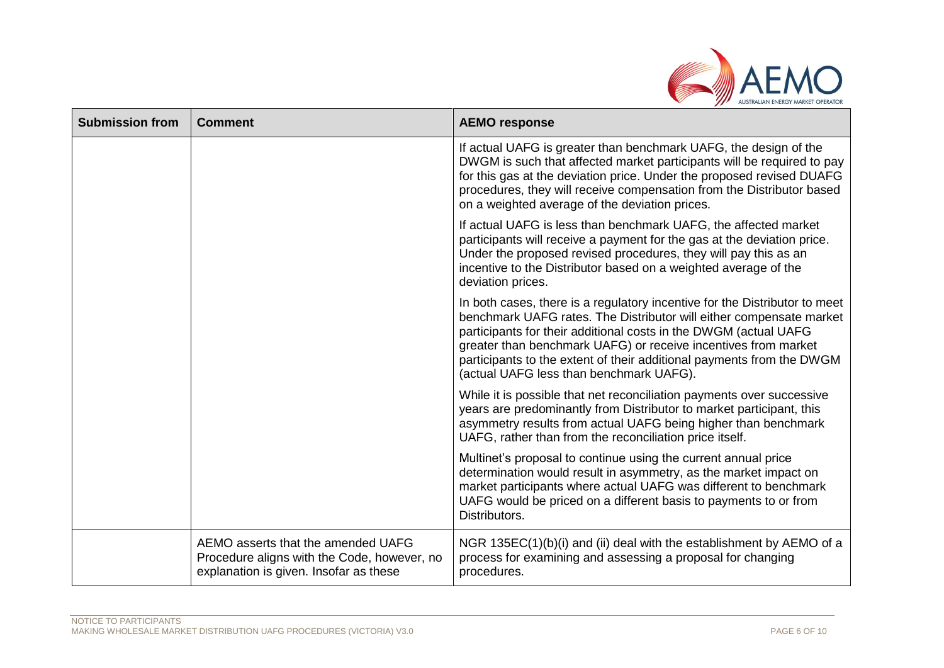

| <b>Submission from</b> | <b>Comment</b>                                                                                                              | <b>AEMO response</b>                                                                                                                                                                                                                                                                                                                                                                                        |
|------------------------|-----------------------------------------------------------------------------------------------------------------------------|-------------------------------------------------------------------------------------------------------------------------------------------------------------------------------------------------------------------------------------------------------------------------------------------------------------------------------------------------------------------------------------------------------------|
|                        |                                                                                                                             | If actual UAFG is greater than benchmark UAFG, the design of the<br>DWGM is such that affected market participants will be required to pay<br>for this gas at the deviation price. Under the proposed revised DUAFG<br>procedures, they will receive compensation from the Distributor based<br>on a weighted average of the deviation prices.                                                              |
|                        |                                                                                                                             | If actual UAFG is less than benchmark UAFG, the affected market<br>participants will receive a payment for the gas at the deviation price.<br>Under the proposed revised procedures, they will pay this as an<br>incentive to the Distributor based on a weighted average of the<br>deviation prices.                                                                                                       |
|                        |                                                                                                                             | In both cases, there is a regulatory incentive for the Distributor to meet<br>benchmark UAFG rates. The Distributor will either compensate market<br>participants for their additional costs in the DWGM (actual UAFG<br>greater than benchmark UAFG) or receive incentives from market<br>participants to the extent of their additional payments from the DWGM<br>(actual UAFG less than benchmark UAFG). |
|                        |                                                                                                                             | While it is possible that net reconciliation payments over successive<br>years are predominantly from Distributor to market participant, this<br>asymmetry results from actual UAFG being higher than benchmark<br>UAFG, rather than from the reconciliation price itself.                                                                                                                                  |
|                        |                                                                                                                             | Multinet's proposal to continue using the current annual price<br>determination would result in asymmetry, as the market impact on<br>market participants where actual UAFG was different to benchmark<br>UAFG would be priced on a different basis to payments to or from<br>Distributors.                                                                                                                 |
|                        | AEMO asserts that the amended UAFG<br>Procedure aligns with the Code, however, no<br>explanation is given. Insofar as these | NGR 135EC(1)(b)(i) and (ii) deal with the establishment by AEMO of a<br>process for examining and assessing a proposal for changing<br>procedures.                                                                                                                                                                                                                                                          |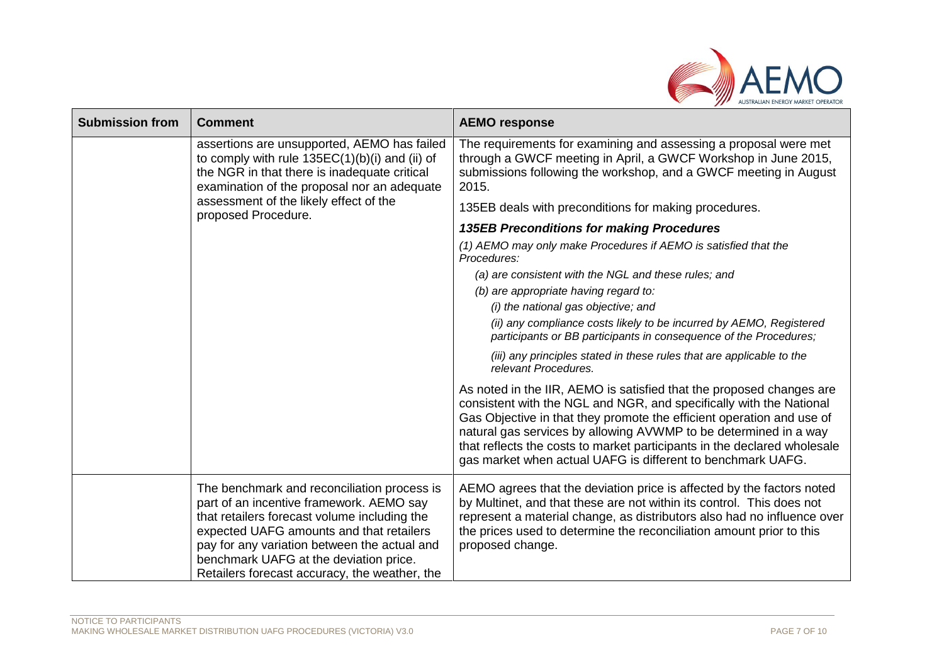

| <b>Submission from</b> | <b>Comment</b>                                                                                                                                                                                                                                                                                                                 | <b>AEMO response</b>                                                                                                                                                                                                                                                                                                                                                                                                                |
|------------------------|--------------------------------------------------------------------------------------------------------------------------------------------------------------------------------------------------------------------------------------------------------------------------------------------------------------------------------|-------------------------------------------------------------------------------------------------------------------------------------------------------------------------------------------------------------------------------------------------------------------------------------------------------------------------------------------------------------------------------------------------------------------------------------|
|                        | assertions are unsupported, AEMO has failed<br>to comply with rule $135EC(1)(b)(i)$ and (ii) of<br>the NGR in that there is inadequate critical<br>examination of the proposal nor an adequate                                                                                                                                 | The requirements for examining and assessing a proposal were met<br>through a GWCF meeting in April, a GWCF Workshop in June 2015,<br>submissions following the workshop, and a GWCF meeting in August<br>2015.                                                                                                                                                                                                                     |
|                        | assessment of the likely effect of the<br>proposed Procedure.                                                                                                                                                                                                                                                                  | 135EB deals with preconditions for making procedures.                                                                                                                                                                                                                                                                                                                                                                               |
|                        |                                                                                                                                                                                                                                                                                                                                | <b>135EB Preconditions for making Procedures</b>                                                                                                                                                                                                                                                                                                                                                                                    |
|                        |                                                                                                                                                                                                                                                                                                                                | (1) AEMO may only make Procedures if AEMO is satisfied that the<br>Procedures:                                                                                                                                                                                                                                                                                                                                                      |
|                        |                                                                                                                                                                                                                                                                                                                                | (a) are consistent with the NGL and these rules; and                                                                                                                                                                                                                                                                                                                                                                                |
|                        |                                                                                                                                                                                                                                                                                                                                | (b) are appropriate having regard to:                                                                                                                                                                                                                                                                                                                                                                                               |
|                        |                                                                                                                                                                                                                                                                                                                                | (i) the national gas objective; and                                                                                                                                                                                                                                                                                                                                                                                                 |
|                        |                                                                                                                                                                                                                                                                                                                                | (ii) any compliance costs likely to be incurred by AEMO, Registered<br>participants or BB participants in consequence of the Procedures;                                                                                                                                                                                                                                                                                            |
|                        |                                                                                                                                                                                                                                                                                                                                | (iii) any principles stated in these rules that are applicable to the<br>relevant Procedures.                                                                                                                                                                                                                                                                                                                                       |
|                        |                                                                                                                                                                                                                                                                                                                                | As noted in the IIR, AEMO is satisfied that the proposed changes are<br>consistent with the NGL and NGR, and specifically with the National<br>Gas Objective in that they promote the efficient operation and use of<br>natural gas services by allowing AVWMP to be determined in a way<br>that reflects the costs to market participants in the declared wholesale<br>gas market when actual UAFG is different to benchmark UAFG. |
|                        | The benchmark and reconciliation process is<br>part of an incentive framework. AEMO say<br>that retailers forecast volume including the<br>expected UAFG amounts and that retailers<br>pay for any variation between the actual and<br>benchmark UAFG at the deviation price.<br>Retailers forecast accuracy, the weather, the | AEMO agrees that the deviation price is affected by the factors noted<br>by Multinet, and that these are not within its control. This does not<br>represent a material change, as distributors also had no influence over<br>the prices used to determine the reconciliation amount prior to this<br>proposed change.                                                                                                               |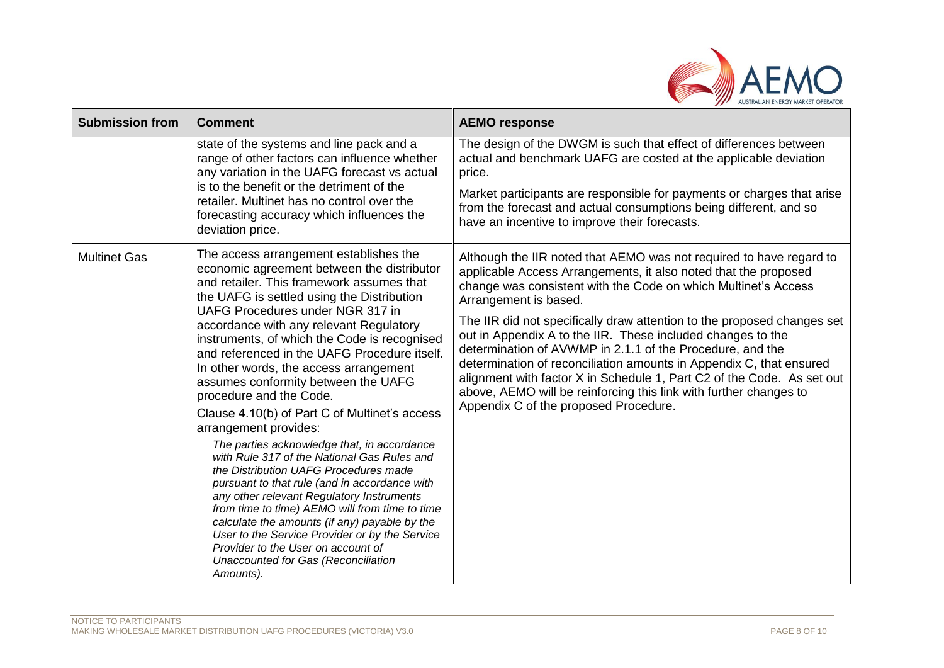

| <b>Submission from</b> | <b>Comment</b>                                                                                                                                                                                                                                                                                                                                                                                                                                                                                                                                                                                                                                                                                                                                                                                                                                                                                                                                                                                                                           | <b>AEMO response</b>                                                                                                                                                                                                                                                                                                                                                                                                                                                                                                                                                                                                                                                                                    |
|------------------------|------------------------------------------------------------------------------------------------------------------------------------------------------------------------------------------------------------------------------------------------------------------------------------------------------------------------------------------------------------------------------------------------------------------------------------------------------------------------------------------------------------------------------------------------------------------------------------------------------------------------------------------------------------------------------------------------------------------------------------------------------------------------------------------------------------------------------------------------------------------------------------------------------------------------------------------------------------------------------------------------------------------------------------------|---------------------------------------------------------------------------------------------------------------------------------------------------------------------------------------------------------------------------------------------------------------------------------------------------------------------------------------------------------------------------------------------------------------------------------------------------------------------------------------------------------------------------------------------------------------------------------------------------------------------------------------------------------------------------------------------------------|
|                        | state of the systems and line pack and a<br>range of other factors can influence whether<br>any variation in the UAFG forecast vs actual<br>is to the benefit or the detriment of the<br>retailer. Multinet has no control over the<br>forecasting accuracy which influences the<br>deviation price.                                                                                                                                                                                                                                                                                                                                                                                                                                                                                                                                                                                                                                                                                                                                     | The design of the DWGM is such that effect of differences between<br>actual and benchmark UAFG are costed at the applicable deviation<br>price.<br>Market participants are responsible for payments or charges that arise<br>from the forecast and actual consumptions being different, and so<br>have an incentive to improve their forecasts.                                                                                                                                                                                                                                                                                                                                                         |
| <b>Multinet Gas</b>    | The access arrangement establishes the<br>economic agreement between the distributor<br>and retailer. This framework assumes that<br>the UAFG is settled using the Distribution<br>UAFG Procedures under NGR 317 in<br>accordance with any relevant Regulatory<br>instruments, of which the Code is recognised<br>and referenced in the UAFG Procedure itself.<br>In other words, the access arrangement<br>assumes conformity between the UAFG<br>procedure and the Code.<br>Clause 4.10(b) of Part C of Multinet's access<br>arrangement provides:<br>The parties acknowledge that, in accordance<br>with Rule 317 of the National Gas Rules and<br>the Distribution UAFG Procedures made<br>pursuant to that rule (and in accordance with<br>any other relevant Regulatory Instruments<br>from time to time) AEMO will from time to time<br>calculate the amounts (if any) payable by the<br>User to the Service Provider or by the Service<br>Provider to the User on account of<br>Unaccounted for Gas (Reconciliation<br>Amounts). | Although the IIR noted that AEMO was not required to have regard to<br>applicable Access Arrangements, it also noted that the proposed<br>change was consistent with the Code on which Multinet's Access<br>Arrangement is based.<br>The IIR did not specifically draw attention to the proposed changes set<br>out in Appendix A to the IIR. These included changes to the<br>determination of AVWMP in 2.1.1 of the Procedure, and the<br>determination of reconciliation amounts in Appendix C, that ensured<br>alignment with factor X in Schedule 1, Part C2 of the Code. As set out<br>above, AEMO will be reinforcing this link with further changes to<br>Appendix C of the proposed Procedure. |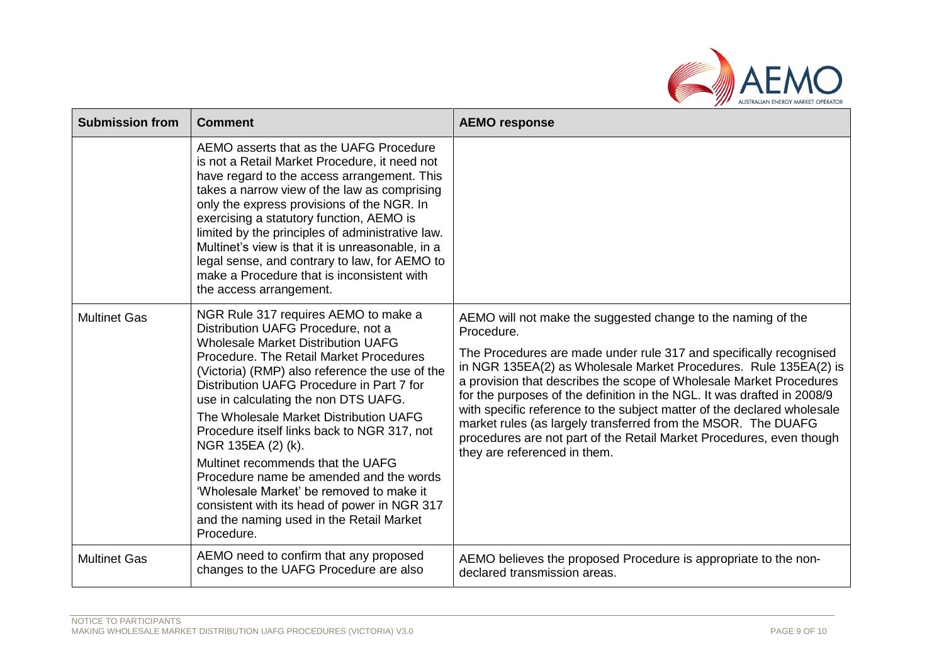

| <b>Submission from</b> | <b>Comment</b>                                                                                                                                                                                                                                                                                                                                                                                                                                                                                                                                                                                                                                                 | <b>AEMO response</b>                                                                                                                                                                                                                                                                                                                                                                                                                                                                                                                                                                                                       |
|------------------------|----------------------------------------------------------------------------------------------------------------------------------------------------------------------------------------------------------------------------------------------------------------------------------------------------------------------------------------------------------------------------------------------------------------------------------------------------------------------------------------------------------------------------------------------------------------------------------------------------------------------------------------------------------------|----------------------------------------------------------------------------------------------------------------------------------------------------------------------------------------------------------------------------------------------------------------------------------------------------------------------------------------------------------------------------------------------------------------------------------------------------------------------------------------------------------------------------------------------------------------------------------------------------------------------------|
|                        | AEMO asserts that as the UAFG Procedure<br>is not a Retail Market Procedure, it need not<br>have regard to the access arrangement. This<br>takes a narrow view of the law as comprising<br>only the express provisions of the NGR. In<br>exercising a statutory function, AEMO is<br>limited by the principles of administrative law.<br>Multinet's view is that it is unreasonable, in a<br>legal sense, and contrary to law, for AEMO to<br>make a Procedure that is inconsistent with<br>the access arrangement.                                                                                                                                            |                                                                                                                                                                                                                                                                                                                                                                                                                                                                                                                                                                                                                            |
| <b>Multinet Gas</b>    | NGR Rule 317 requires AEMO to make a<br>Distribution UAFG Procedure, not a<br><b>Wholesale Market Distribution UAFG</b><br>Procedure. The Retail Market Procedures<br>(Victoria) (RMP) also reference the use of the<br>Distribution UAFG Procedure in Part 7 for<br>use in calculating the non DTS UAFG.<br>The Wholesale Market Distribution UAFG<br>Procedure itself links back to NGR 317, not<br>NGR 135EA (2) (k).<br>Multinet recommends that the UAFG<br>Procedure name be amended and the words<br>'Wholesale Market' be removed to make it<br>consistent with its head of power in NGR 317<br>and the naming used in the Retail Market<br>Procedure. | AEMO will not make the suggested change to the naming of the<br>Procedure.<br>The Procedures are made under rule 317 and specifically recognised<br>in NGR 135EA(2) as Wholesale Market Procedures. Rule 135EA(2) is<br>a provision that describes the scope of Wholesale Market Procedures<br>for the purposes of the definition in the NGL. It was drafted in 2008/9<br>with specific reference to the subject matter of the declared wholesale<br>market rules (as largely transferred from the MSOR. The DUAFG<br>procedures are not part of the Retail Market Procedures, even though<br>they are referenced in them. |
| <b>Multinet Gas</b>    | AEMO need to confirm that any proposed<br>changes to the UAFG Procedure are also                                                                                                                                                                                                                                                                                                                                                                                                                                                                                                                                                                               | AEMO believes the proposed Procedure is appropriate to the non-<br>declared transmission areas.                                                                                                                                                                                                                                                                                                                                                                                                                                                                                                                            |